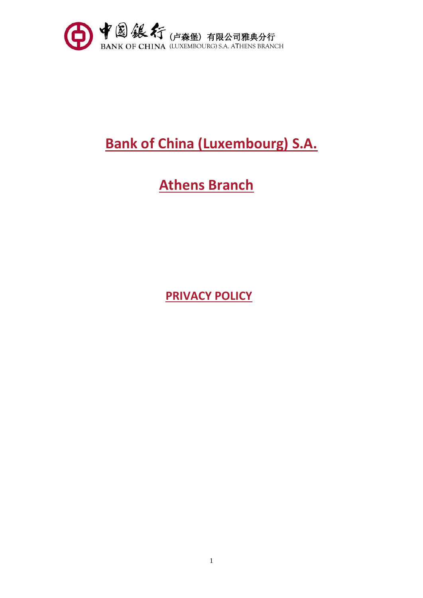

# **Bank of China (Luxembourg) S.A.**

# **Athens Branch**

**PRIVACY POLICY**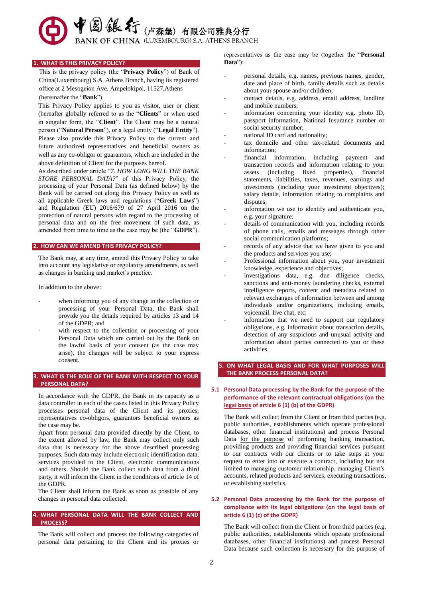◆ 图 銀行 (卢森堡) 有限公司雅典分行

BANK OF CHINA (LUXEMBOURG) S.A. ATHENS BRANCH

#### **1. WHAT IS THIS PRIVACY POLICY?**

This is the privacy policy (the "**Privacy Policy**") of Bank of China(Luxembourg) S.A. Athens Branch, having its registered office at 2 Mesogeion Ave, Ampelokipoi, 11527,Athens (hereinafter the "**Bank**").

This Privacy Policy applies to you as visitor, user or client (hereafter globally referred to as the "**Clients**" or when used in singular form, the "**Client**". The Client may be a natural person ("**Natural Person**"), or a legal entity ("**Legal Entity**"). Please also provide this Privacy Policy to the current and future authorized representatives and beneficial owners as well as any co-obligor or guarantors, which are included in the above definition of Client for the purposes hereof.

As described under article "*7. HOW LONG WILL THE BANK STORE PERSONAL DATA?*" of this Privacy Policy, the processing of your Personal Data (as defined below) by the Bank will be carried out along this Privacy Policy as well as all applicable Greek laws and regulations ("**Greek Laws**") and Regulation (EU) 2016/679 of 27 April 2016 on the protection of natural persons with regard to the processing of personal data and on the free movement of such data, as amended from time to time as the case may be (the "**GDPR**").

# **2. HOW CAN WE AMEND THIS PRIVACY POLICY?**

The Bank may, at any time, amend this Privacy Policy to take into account any legislative or regulatory amendments, as well as changes in banking and market's practice.

In addition to the above:

- when informing you of any change in the collection or processing of your Personal Data, the Bank shall provide you the details required by articles 13 and 14 of the GDPR; and
- with respect to the collection or processing of your Personal Data which are carried out by the Bank on the lawful basis of your consent (as the case may arise), the changes will be subject to your express consent.

# **3. WHAT IS THE ROLE OF THE BANK WITH RESPECT TO YOUR PERSONAL DATA?**

In accordance with the GDPR, the Bank in its capacity as a data controller in each of the cases listed in this Privacy Policy processes personal data of the Client and its proxies, representatives co-obligors, guarantors beneficial owners as the case may be.

Apart from personal data provided directly by the Client, to the extent allowed by law, the Bank may collect only such data that is necessary for the above described processing purposes. Such data may include electronic identification data, services provided to the Client, electronic communications and others. Should the Bank collect such data from a third party, it will inform the Client in the conditions of article 14 of the GDPR.

The Client shall inform the Bank as soon as possible of any changes in personal data collected.

#### **4. WHAT PERSONAL DATA WILL THE BANK COLLECT AND PROCESS?**

The Bank will collect and process the following categories of personal data pertaining to the Client and its proxies or representatives as the case may be (together the "**Personal Data**"):

- personal details, e.g. names, previous names, gender, date and place of birth, family details such as details about your spouse and/or children;
- contact details, e.g. address, email address, landline and mobile numbers;
- information concerning your identity e.g. photo ID, passport information, National Insurance number or social security number;
- national ID card and nationality;
- tax domicile and other tax-related documents and information;
- financial information, including payment and transaction records and information relating to your assets (including fixed properties), financial statements, liabilities, taxes, revenues, earnings and investments (including your investment objectives); salary details, information relating to complaints and disputes:
- information we use to identify and authenticate you, e.g. your signature;
- details of communication with you, including records of phone calls, emails and messages through other social communication platforms;
- records of any advice that we have given to you and the products and services you use;
- Professional information about you, your investment knowledge, experience and objectives;
- investigations data, e.g. due diligence checks, sanctions and anti-money laundering checks, external intelligence reports, content and metadata related to relevant exchanges of information between and among individuals and/or organizations, including emails, voicemail, live chat, etc;
- information that we need to support our regulatory obligations, e.g. information about transaction details, detection of any suspicious and unusual activity and information about parties connected to you or these activities.

# **5. ON WHAT LEGAL BASIS AND FOR WHAT PURPOSES WILL THE BANK PROCESS PERSONAL DATA?**

**5.1 Personal Data processing by the Bank for the purpose of the performance of the relevant contractual obligations (on the legal basis of article 6 (1) (b) of the GDPR)**

The Bank will collect from the Client or from third parties (e.g. public authorities, establishments which operate professional databases, other financial institutions) and process Personal Data for the purpose of performing banking transaction, providing products and providing financial services pursuant to our contracts with our clients or to take steps at your request to enter into or execute a contract, including but not limited to managing customer relationship, managing Client's accounts, related products and services, executing transactions, or establishing statistics.

## **5.2 Personal Data processing by the Bank for the purpose of compliance with its legal obligations (on the legal basis of article 6 (1) (c) of the GDPR)**

The Bank will collect from the Client or from third parties (e.g. public authorities, establishments which operate professional databases, other financial institutions) and process Personal Data because such collection is necessary for the purpose of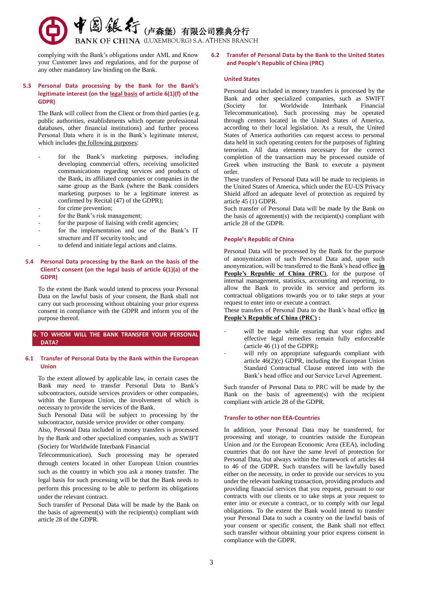

complying with the Bank's obligations under AML and Know your Customer laws and regulations, and for the purpose of any other mandatory law binding on the Bank.

# **5.3 Personal Data processing by the Bank for the Bank's legitimate interest (on the legal basis of article 6(1)(f) of the GDPR)**

The Bank will collect from the Client or from third parties (e.g. public authorities, establishments which operate professional databases, other financial institutions) and further process Personal Data where it is in the Bank's legitimate interest, which includes the following purposes:

- for the Bank's marketing purposes, including developing commercial offers, receiving unsolicited communications regarding services and products of the Bank, its affiliated companies or companies in the same group as the Bank (where the Bank considers marketing purposes to be a legitimate interest as confirmed by Recital (47) of the GDPR);
- for crime prevention;
- for the Bank's risk management:
- for the purpose of liaising with credit agencies;
- for the implementation and use of the Bank's IT structure and IT security tools; and
- to defend and initiate legal actions and claims.

# **5.4 Personal Data processing by the Bank on the basis of the Client's consent (on the legal basis of article 6(1)(a) of the GDPR)**

To the extent the Bank would intend to process your Personal Data on the lawful basis of your consent, the Bank shall not carry out such processing without obtaining your prior express consent in compliance with the GDPR and inform you of the purpose thereof.

# **6. TO WHOM WILL THE BANK TRANSFER YOUR PERSONAL DATA?**

#### **6.1 Transfer of Personal Data by the Bank within the European Union**

To the extent allowed by applicable law, in certain cases the Bank may need to transfer Personal Data to Bank's subcontractors, outside services providers or other companies, within the European Union, the involvement of which is necessary to provide the services of the Bank.

Such Personal Data will be subject to processing by the subcontractor, outside service provider or other company.

Also, Personal Data included in money transfers is processed by the Bank and other specialized companies, such as SWIFT (Society for Worldwide Interbank Financial

Telecommunication). Such processing may be operated through centers located in other European Union countries such as the country in which you ask a money transfer. The legal basis for such processing will be that the Bank needs to perform this processing to be able to perform its obligations under the relevant contract.

Such transfer of Personal Data will be made by the Bank on the basis of agreement(s) with the recipient(s) compliant with article 28 of the GDPR.

#### **6.2 Transfer of Personal Data by the Bank to the United States and People's Republic of China (PRC)**

#### **United States**

Personal data included in money transfers is processed by the Bank and other specialized companies, such as SWIFT (Society for Worldwide Interbank Financial Telecommunication). Such processing may be operated through centers located in the United States of America, according to their local legislation. As a result, the United States of America authorities can request access to personal data held in such operating centers for the purposes of fighting terrorism. All data elements necessary for the correct completion of the transaction may be processed outside of Greek when instructing the Bank to execute a payment order.

These transfers of Personal Data will be made to recipients in the United States of America, which under the EU-US Privacy Shield afford an adequate level of protection as required by article 45 (1) GDPR.

Such transfer of Personal Data will be made by the Bank on the basis of agreement(s) with the recipient(s) compliant with article 28 of the GDPR.

#### **People's Republic of China**

Personal Data will be processed by the Bank for the purpose of anonymization of such Personal Data and, upon such anonymization, will be transferred to the Bank's head office **in People's Republic of China (PRC)**, for the purpose of internal management, statistics, accounting and reporting, to allow the Bank to provide its service and perform its contractual obligations towards you or to take steps at your request to enter into or execute a contract.

These transfers of Personal Data to the Bank's head office **in People's Republic of China (PRC) :** 

- will be made while ensuring that your rights and effective legal remedies remain fully enforceable (article 46 (1) of the GDPR);
- will rely on appropriate safeguards compliant with article 46(2)(c) GDPR, including the European Union Standard Contractual Clause entered into with the Bank's head office and our Service Level Agreement.

Such transfer of Personal Data to PRC will be made by the Bank on the basis of agreement(s) with the recipient compliant with article 28 of the GDPR.

#### **Transfer to other non EEA-Countries**

In addition, your Personal Data may be transferred, for processing and storage, to countries outside the European Union and /or the European Economic Area (EEA), including countries that do not have the same level of protection for Personal Data, but always within the framework of articles 44 to 46 of the GDPR. Such transfers will be lawfully based either on the necessity, in order to provide our services to you under the relevant banking transaction, providing products and providing financial services that you request, pursuant to our contracts with our clients or to take steps at your request to enter into or execute a contract, or to comply with our legal obligations. To the extent the Bank would intend to transfer your Personal Data to such a country on the lawful basis of your consent or specific consent, the Bank shall not effect such transfer without obtaining your prior express consent in compliance with the GDPR.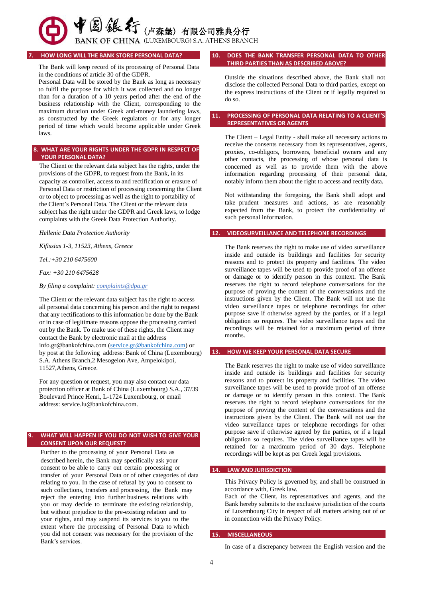# (国线大行(卢森堡)有限公司雅典分行

BANK OF CHINA (LUXEMBOURG) S.A. ATHENS BRANCH

# **7. HOW LONG WILL THE BANK STORE PERSONAL DATA?**

The Bank will keep record of its processing of Personal Data in the conditions of article 30 of the GDPR.

Personal Data will be stored by the Bank as long as necessary to fulfil the purpose for which it was collected and no longer than for a duration of a 10 years period after the end of the business relationship with the Client, corresponding to the maximum duration under Greek anti-money laundering laws, as constructed by the Greek regulators or for any longer period of time which would become applicable under Greek laws.

# **8. WHAT ARE YOUR RIGHTS UNDER THE GDPR IN RESPECT OF YOUR PERSONAL DATA?**

The Client or the relevant data subject has the rights, under the provisions of the GDPR, to request from the Bank, in its capacity as controller, access to and rectification or erasure of Personal Data or restriction of processing concerning the Client or to object to processing as well as the right to portability of the Client's Personal Data. The Client or the relevant data subject has the right under the GDPR and Greek laws, to lodge complaints with the Greek Data Protection Authority.

*Hellenic Data Protection Authority*

*Kifissias 1-3, 11523, Athens, Greece*

## *Tel.:+30 210 6475600*

*Fax: +30 210 6475628*

*By filing a complaint: complaints@dpa.gr*

The Client or the relevant data subject has the right to access all personal data concerning his person and the right to request that any rectifications to this information be done by the Bank or in case of legitimate reasons oppose the processing carried out by the Bank. To make use of these rights, the Client may contact the Bank by electronic mail at the address info.gr@bankofchina.com (service.gr@bankofchina.com) or by post at the following address: Bank of China (Luxembourg) S.A. Athens Branch,2 Mesogeion Ave, Ampelokipoi, 11527,Athens, Greece.

For any question or request, you may also contact our data protection officer at Bank of China (Luxembourg) S.A., 37/39 Boulev[ard Prince Henri, L-1724 Luxem](mailto:service.lu@bankofchina.com)bourg, or email address: service.lu@bankofchina.com.

# **9. WHAT WILL HAPPEN IF YOU DO NOT WISH TO GIVE YOUR CONSENT UPON OUR REQUEST?**

Further to the processing of your Personal Data as described herein, the Bank may specifically ask your consent to be able to carry out certain processing or transfer of your Personal Data or of other categories of data relating to you. In the case of refusal by you to consent to such collections, transfers and processing, the Bank may reject the entering into further business relations with you or may decide to terminate the existing relationship, but without prejudice to the pre-existing relation and to your rights, and may suspend its services to you to the extent where the processing of Personal Data to which you did not consent was necessary for the provision of the Bank's services.

# **10. DOES THE BANK TRANSFER PERSONAL DATA TO OTHER THIRD PARTIES THAN AS DESCRIBED ABOVE?**

Outside the situations described above, the Bank shall not disclose the collected Personal Data to third parties, except on the express instructions of the Client or if legally required to do so.

#### **11. PROCESSING OF PERSONAL DATA RELATING TO A CLIENT'S REPRESENTATIVES OR AGENTS**

The Client – Legal Entity - shall make all necessary actions to receive the consents necessary from its representatives, agents, proxies, co-obligors, borrowers, beneficial owners and any other contacts, the processing of whose personal data is concerned as well as to provide them with the above information regarding processing of their personal data, notably inform them about the right to access and rectify data.

Not withstanding the foregoing, the Bank shall adopt and take prudent measures and actions, as are reasonably expected from the Bank, to protect the confidentiality of such personal information.

## **12. VIDEOSURVEILLANCE AND TELEPHONE RECORDINGS**

The Bank reserves the right to make use of video surveillance inside and outside its buildings and facilities for security reasons and to protect its property and facilities. The video surveillance tapes will be used to provide proof of an offense or damage or to identify person in this context. The Bank reserves the right to record telephone conversations for the purpose of proving the content of the conversations and the instructions given by the Client. The Bank will not use the video surveillance tapes or telephone recordings for other purpose save if otherwise agreed by the parties, or if a legal obligation so requires. The video surveillance tapes and the recordings will be retained for a maximum period of three months.

#### **13. HOW WE KEEP YOUR PERSONAL DATA SECURE**

The Bank reserves the right to make use of video surveillance inside and outside its buildings and facilities for security reasons and to protect its property and facilities. The video surveillance tapes will be used to provide proof of an offense or damage or to identify person in this context. The Bank reserves the right to record telephone conversations for the purpose of proving the content of the conversations and the instructions given by the Client. The Bank will not use the video surveillance tapes or telephone recordings for other purpose save if otherwise agreed by the parties, or if a legal obligation so requires. The video surveillance tapes will be retained for a maximum period of 30 days. Telephone recordings will be kept as per Greek legal provisions.

#### **14. LAW AND JURISDICTION**

This Privacy Policy is governed by, and shall be construed in accordance with, Greek law.

Each of the Client, its representatives and agents, and the Bank hereby submits to the exclusive jurisdiction of the courts of Luxembourg City in respect of all matters arising out of or in connection with the Privacy Policy.

#### **15. MISCELLANEOUS**

In case of a discrepancy between the English version and the